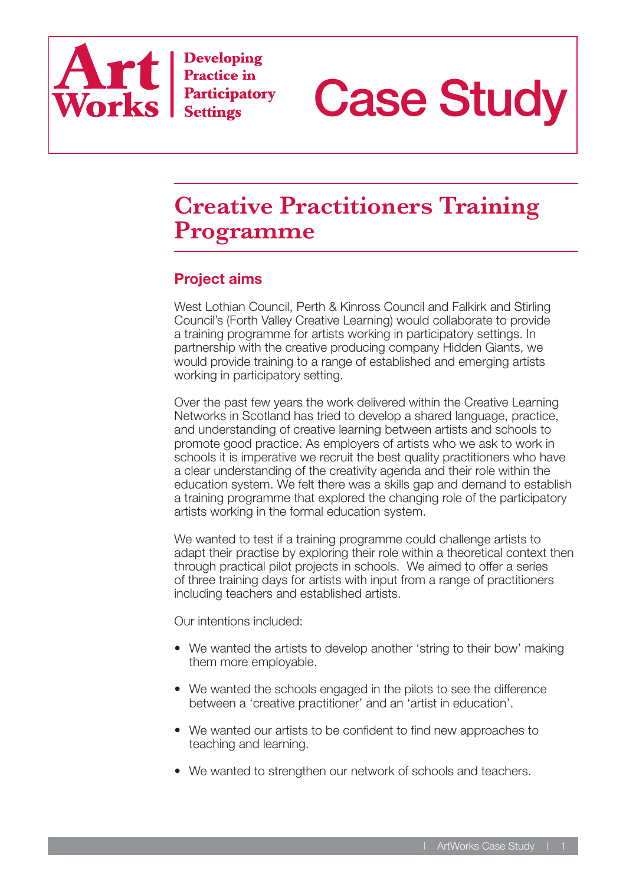

**Developing Practice in Participatory Settings** 



# **Creative Practitioners Training Programme**

## **Project aims**

West Lothian Council, Perth & Kinross Council and Falkirk and Stirling Council's (Forth Valley Creative Learning) would collaborate to provide a training programme for artists working in participatory settings. In partnership with the creative producing company Hidden Giants, we would provide training to a range of established and emerging artists working in participatory setting.

Over the past few years the work delivered within the Creative Learning Networks in Scotland has tried to develop a shared language, practice, and understanding of creative learning between artists and schools to promote good practice. As employers of artists who we ask to work in schools it is imperative we recruit the best quality practitioners who have a clear understanding of the creativity agenda and their role within the education system. We felt there was a skills gap and demand to establish a training programme that explored the changing role of the participatory artists working in the formal education system.

We wanted to test if a training programme could challenge artists to adapt their practise by exploring their role within a theoretical context then through practical pilot projects in schools. We aimed to offer a series of three training days for artists with input from a range of practitioners including teachers and established artists.

Our intentions included:

- We wanted the artists to develop another 'string to their bow' making them more employable.
- We wanted the schools engaged in the pilots to see the difference between a 'creative practitioner' and an 'artist in education'.
- We wanted our artists to be confident to find new approaches to teaching and learning.
- We wanted to strengthen our network of schools and teachers.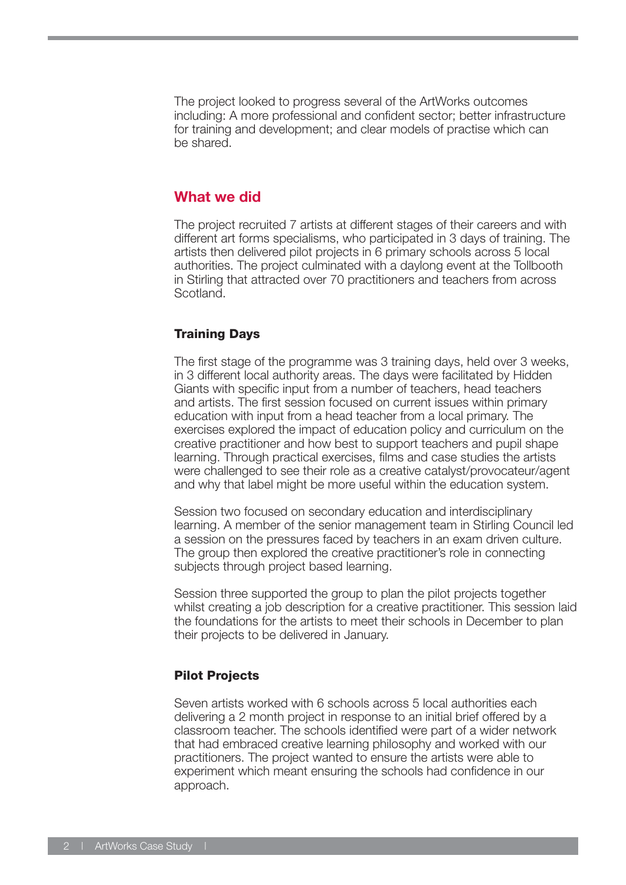The project looked to progress several of the ArtWorks outcomes including: A more professional and confident sector; better infrastructure for training and development; and clear models of practise which can be shared.

#### **What we did**

The project recruited 7 artists at different stages of their careers and with different art forms specialisms, who participated in 3 days of training. The artists then delivered pilot projects in 6 primary schools across 5 local authorities. The project culminated with a daylong event at the Tollbooth in Stirling that attracted over 70 practitioners and teachers from across Scotland.

#### Training Days

The first stage of the programme was 3 training days, held over 3 weeks, in 3 different local authority areas. The days were facilitated by Hidden Giants with specific input from a number of teachers, head teachers and artists. The first session focused on current issues within primary education with input from a head teacher from a local primary. The exercises explored the impact of education policy and curriculum on the creative practitioner and how best to support teachers and pupil shape learning. Through practical exercises, films and case studies the artists were challenged to see their role as a creative catalyst/provocateur/agent and why that label might be more useful within the education system.

Session two focused on secondary education and interdisciplinary learning. A member of the senior management team in Stirling Council led a session on the pressures faced by teachers in an exam driven culture. The group then explored the creative practitioner's role in connecting subjects through project based learning.

Session three supported the group to plan the pilot projects together whilst creating a job description for a creative practitioner. This session laid the foundations for the artists to meet their schools in December to plan their projects to be delivered in January.

#### Pilot Projects

Seven artists worked with 6 schools across 5 local authorities each delivering a 2 month project in response to an initial brief offered by a classroom teacher. The schools identified were part of a wider network that had embraced creative learning philosophy and worked with our practitioners. The project wanted to ensure the artists were able to experiment which meant ensuring the schools had confidence in our approach.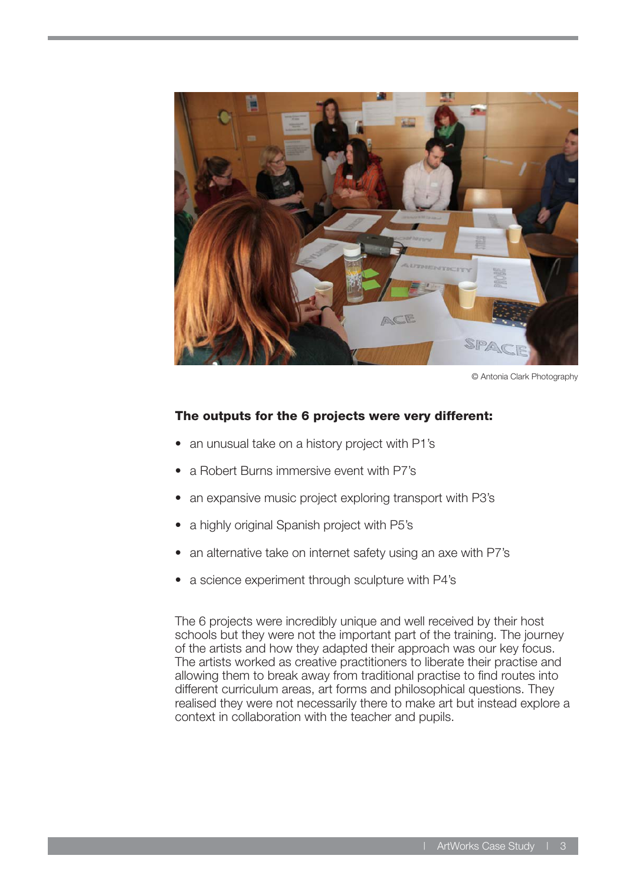

© Antonia Clark Photography

#### The outputs for the 6 projects were very different:

- an unusual take on a history project with P1's
- a Robert Burns immersive event with P7's
- an expansive music project exploring transport with P3's
- a highly original Spanish project with P5's
- an alternative take on internet safety using an axe with P7's
- a science experiment through sculpture with P4's

The 6 projects were incredibly unique and well received by their host schools but they were not the important part of the training. The journey of the artists and how they adapted their approach was our key focus. The artists worked as creative practitioners to liberate their practise and allowing them to break away from traditional practise to find routes into different curriculum areas, art forms and philosophical questions. They realised they were not necessarily there to make art but instead explore a context in collaboration with the teacher and pupils.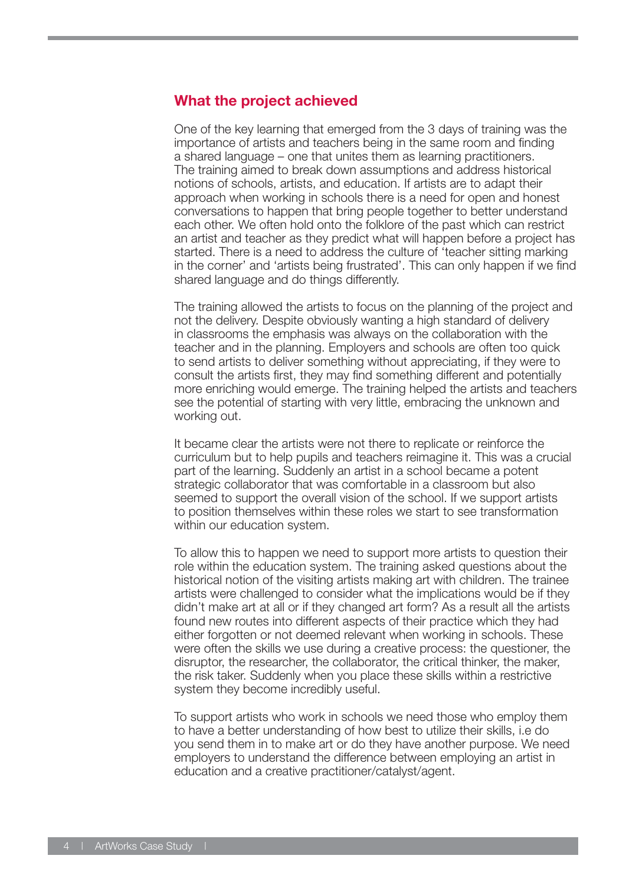### **What the project achieved**

One of the key learning that emerged from the 3 days of training was the importance of artists and teachers being in the same room and finding a shared language – one that unites them as learning practitioners. The training aimed to break down assumptions and address historical notions of schools, artists, and education. If artists are to adapt their approach when working in schools there is a need for open and honest conversations to happen that bring people together to better understand each other. We often hold onto the folklore of the past which can restrict an artist and teacher as they predict what will happen before a project has started. There is a need to address the culture of 'teacher sitting marking in the corner' and 'artists being frustrated'. This can only happen if we find shared language and do things differently.

The training allowed the artists to focus on the planning of the project and not the delivery. Despite obviously wanting a high standard of delivery in classrooms the emphasis was always on the collaboration with the teacher and in the planning. Employers and schools are often too quick to send artists to deliver something without appreciating, if they were to consult the artists first, they may find something different and potentially more enriching would emerge. The training helped the artists and teachers see the potential of starting with very little, embracing the unknown and working out.

It became clear the artists were not there to replicate or reinforce the curriculum but to help pupils and teachers reimagine it. This was a crucial part of the learning. Suddenly an artist in a school became a potent strategic collaborator that was comfortable in a classroom but also seemed to support the overall vision of the school. If we support artists to position themselves within these roles we start to see transformation within our education system.

To allow this to happen we need to support more artists to question their role within the education system. The training asked questions about the historical notion of the visiting artists making art with children. The trainee artists were challenged to consider what the implications would be if they didn't make art at all or if they changed art form? As a result all the artists found new routes into different aspects of their practice which they had either forgotten or not deemed relevant when working in schools. These were often the skills we use during a creative process: the questioner, the disruptor, the researcher, the collaborator, the critical thinker, the maker, the risk taker. Suddenly when you place these skills within a restrictive system they become incredibly useful.

To support artists who work in schools we need those who employ them to have a better understanding of how best to utilize their skills, i.e do you send them in to make art or do they have another purpose. We need employers to understand the difference between employing an artist in education and a creative practitioner/catalyst/agent.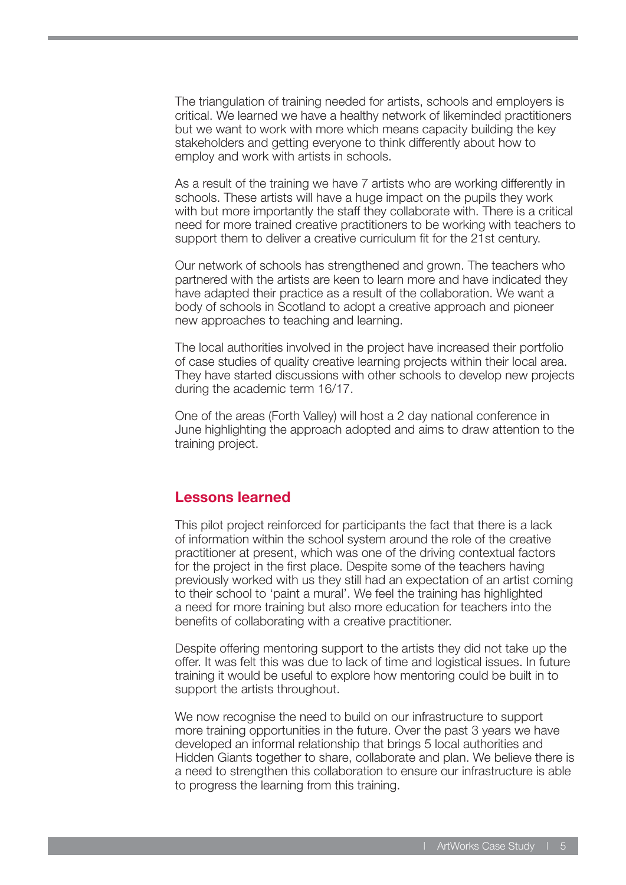The triangulation of training needed for artists, schools and employers is critical. We learned we have a healthy network of likeminded practitioners but we want to work with more which means capacity building the key stakeholders and getting everyone to think differently about how to employ and work with artists in schools.

As a result of the training we have 7 artists who are working differently in schools. These artists will have a huge impact on the pupils they work with but more importantly the staff they collaborate with. There is a critical need for more trained creative practitioners to be working with teachers to support them to deliver a creative curriculum fit for the 21st century.

Our network of schools has strengthened and grown. The teachers who partnered with the artists are keen to learn more and have indicated they have adapted their practice as a result of the collaboration. We want a body of schools in Scotland to adopt a creative approach and pioneer new approaches to teaching and learning.

The local authorities involved in the project have increased their portfolio of case studies of quality creative learning projects within their local area. They have started discussions with other schools to develop new projects during the academic term 16/17.

One of the areas (Forth Valley) will host a 2 day national conference in June highlighting the approach adopted and aims to draw attention to the training project.

#### **Lessons learned**

This pilot project reinforced for participants the fact that there is a lack of information within the school system around the role of the creative practitioner at present, which was one of the driving contextual factors for the project in the first place. Despite some of the teachers having previously worked with us they still had an expectation of an artist coming to their school to 'paint a mural'. We feel the training has highlighted a need for more training but also more education for teachers into the benefits of collaborating with a creative practitioner.

Despite offering mentoring support to the artists they did not take up the offer. It was felt this was due to lack of time and logistical issues. In future training it would be useful to explore how mentoring could be built in to support the artists throughout.

We now recognise the need to build on our infrastructure to support more training opportunities in the future. Over the past 3 years we have developed an informal relationship that brings 5 local authorities and Hidden Giants together to share, collaborate and plan. We believe there is a need to strengthen this collaboration to ensure our infrastructure is able to progress the learning from this training.